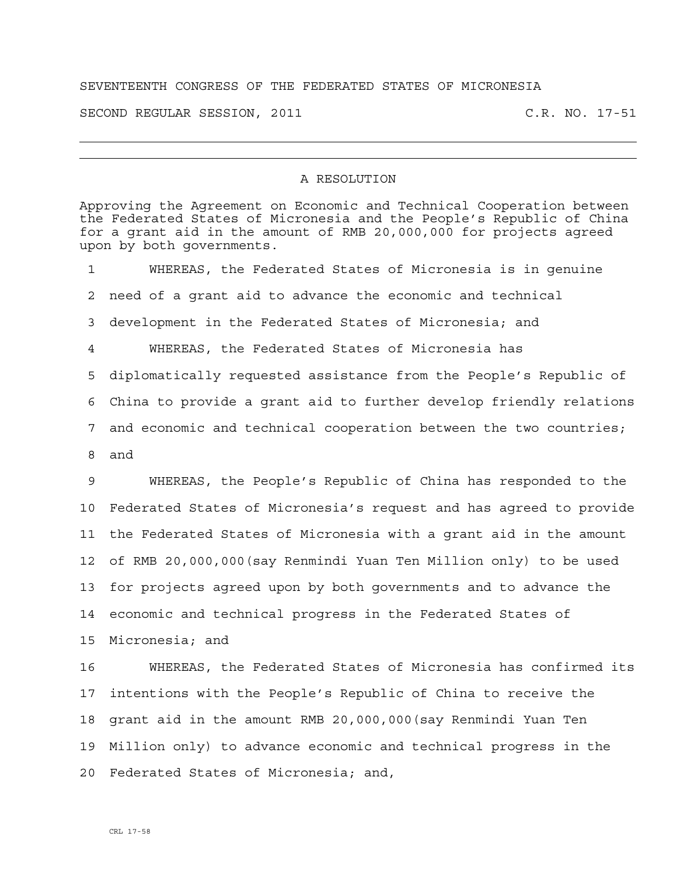## SEVENTEENTH CONGRESS OF THE FEDERATED STATES OF MICRONESIA

SECOND REGULAR SESSION, 2011 C.R. NO. 17-51

## A RESOLUTION

Approving the Agreement on Economic and Technical Cooperation between the Federated States of Micronesia and the People's Republic of China for a grant aid in the amount of RMB 20,000,000 for projects agreed upon by both governments. 1 WHEREAS, the Federated States of Micronesia is in genuine 2 need of a grant aid to advance the economic and technical 3 development in the Federated States of Micronesia; and 4 WHEREAS, the Federated States of Micronesia has 5 diplomatically requested assistance from the People's Republic of 6 China to provide a grant aid to further develop friendly relations 7 and economic and technical cooperation between the two countries; 8 and 9 WHEREAS, the People's Republic of China has responded to the 10 Federated States of Micronesia's request and has agreed to provide 11 the Federated States of Micronesia with a grant aid in the amount 12 of RMB 20,000,000(say Renmindi Yuan Ten Million only) to be used 13 for projects agreed upon by both governments and to advance the 14 economic and technical progress in the Federated States of 15 Micronesia; and 16 WHEREAS, the Federated States of Micronesia has confirmed its 17 intentions with the People's Republic of China to receive the 18 grant aid in the amount RMB 20,000,000(say Renmindi Yuan Ten 19 Million only) to advance economic and technical progress in the 20 Federated States of Micronesia; and,